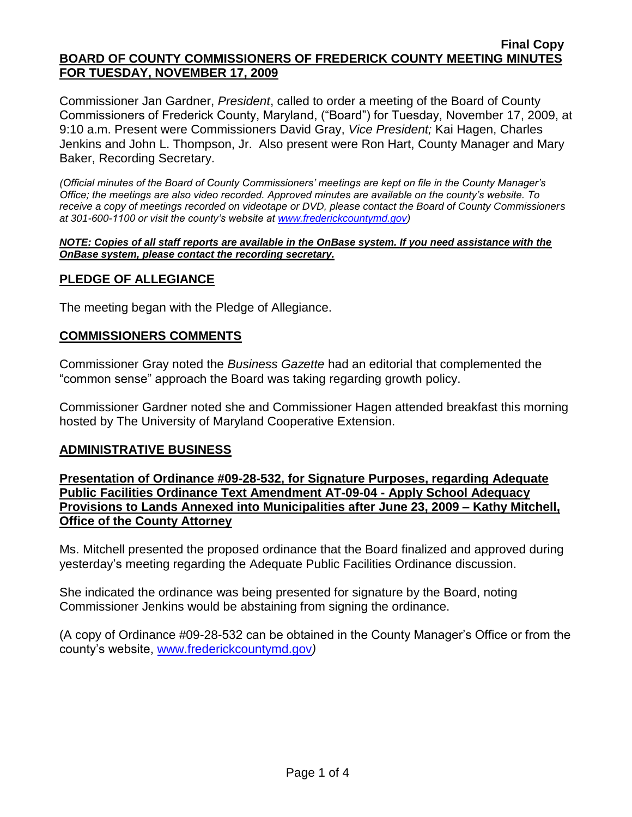Commissioner Jan Gardner, *President*, called to order a meeting of the Board of County Commissioners of Frederick County, Maryland, ("Board") for Tuesday, November 17, 2009, at 9:10 a.m. Present were Commissioners David Gray, *Vice President;* Kai Hagen, Charles Jenkins and John L. Thompson, Jr. Also present were Ron Hart, County Manager and Mary Baker, Recording Secretary.

*(Official minutes of the Board of County Commissioners' meetings are kept on file in the County Manager's Office; the meetings are also video recorded. Approved minutes are available on the county's website. To receive a copy of meetings recorded on videotape or DVD, please contact the Board of County Commissioners at 301-600-1100 or visit the county's website at [www.frederickcountymd.gov\)](www.frederickcountymd.gov)*

#### *NOTE: Copies of all staff reports are available in the OnBase system. If you need assistance with the OnBase system, please contact the recording secretary.*

# **PLEDGE OF ALLEGIANCE**

The meeting began with the Pledge of Allegiance.

## **COMMISSIONERS COMMENTS**

Commissioner Gray noted the *Business Gazette* had an editorial that complemented the "common sense" approach the Board was taking regarding growth policy.

Commissioner Gardner noted she and Commissioner Hagen attended breakfast this morning hosted by The University of Maryland Cooperative Extension.

## **ADMINISTRATIVE BUSINESS**

**Presentation of Ordinance #09-28-532, for Signature Purposes, regarding Adequate Public Facilities Ordinance Text Amendment AT-09-04 - Apply School Adequacy Provisions to Lands Annexed into Municipalities after June 23, 2009 – Kathy Mitchell, Office of the County Attorney** 

Ms. Mitchell presented the proposed ordinance that the Board finalized and approved during yesterday's meeting regarding the Adequate Public Facilities Ordinance discussion.

She indicated the ordinance was being presented for signature by the Board, noting Commissioner Jenkins would be abstaining from signing the ordinance.

(A copy of Ordinance #09-28-532 can be obtained in the County Manager's Office or from the county's website, [www.frederickcountymd.gov](file:\\NT1S5\BOCC\BOCC\BOCC%20Minutes\Mary)*)*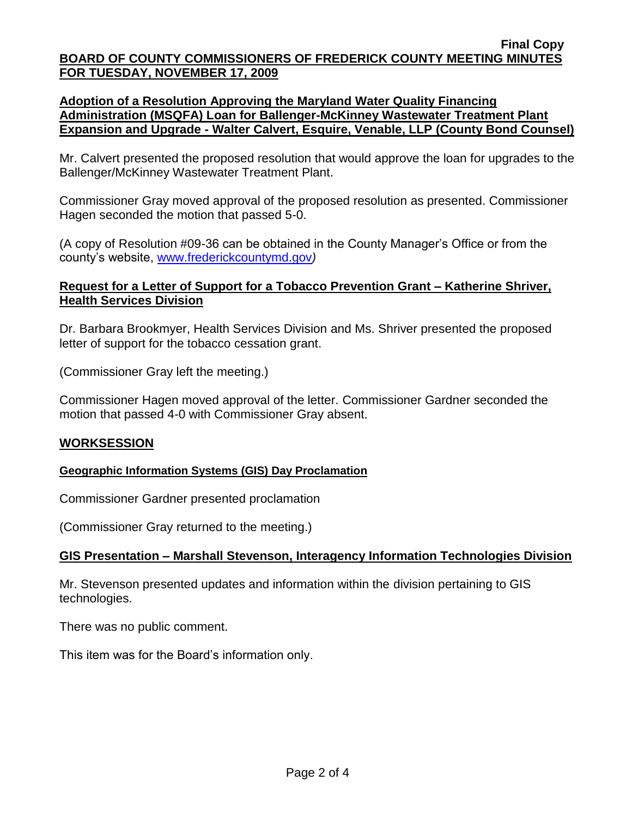# **Adoption of a Resolution Approving the Maryland Water Quality Financing Administration (MSQFA) Loan for Ballenger-McKinney Wastewater Treatment Plant Expansion and Upgrade - Walter Calvert, Esquire, Venable, LLP (County Bond Counsel)**

Mr. Calvert presented the proposed resolution that would approve the loan for upgrades to the Ballenger/McKinney Wastewater Treatment Plant.

Commissioner Gray moved approval of the proposed resolution as presented. Commissioner Hagen seconded the motion that passed 5-0.

(A copy of Resolution #09-36 can be obtained in the County Manager's Office or from the county's website, [www.frederickcountymd.gov](file:\\NT1S5\BOCC\BOCC\BOCC%20Minutes\Mary)*)*

## **Request for a Letter of Support for a Tobacco Prevention Grant – Katherine Shriver, Health Services Division**

Dr. Barbara Brookmyer, Health Services Division and Ms. Shriver presented the proposed letter of support for the tobacco cessation grant.

(Commissioner Gray left the meeting.)

Commissioner Hagen moved approval of the letter. Commissioner Gardner seconded the motion that passed 4-0 with Commissioner Gray absent.

## **WORKSESSION**

## **Geographic Information Systems (GIS) Day Proclamation**

Commissioner Gardner presented proclamation

(Commissioner Gray returned to the meeting.)

## **GIS Presentation – Marshall Stevenson, Interagency Information Technologies Division**

Mr. Stevenson presented updates and information within the division pertaining to GIS technologies.

There was no public comment.

This item was for the Board's information only.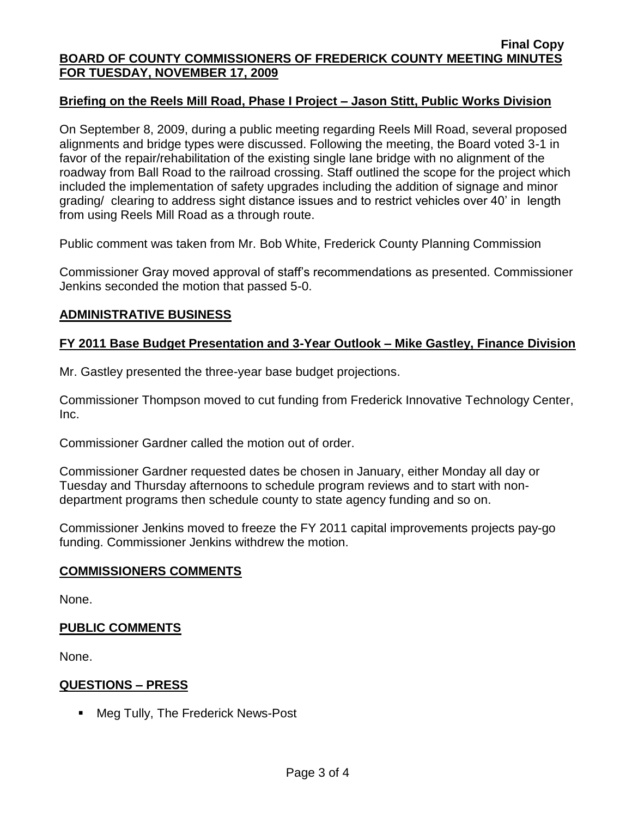## **Briefing on the Reels Mill Road, Phase I Project – Jason Stitt, Public Works Division**

On September 8, 2009, during a public meeting regarding Reels Mill Road, several proposed alignments and bridge types were discussed. Following the meeting, the Board voted 3-1 in favor of the repair/rehabilitation of the existing single lane bridge with no alignment of the roadway from Ball Road to the railroad crossing. Staff outlined the scope for the project which included the implementation of safety upgrades including the addition of signage and minor grading/ clearing to address sight distance issues and to restrict vehicles over 40' in length from using Reels Mill Road as a through route.

Public comment was taken from Mr. Bob White, Frederick County Planning Commission

Commissioner Gray moved approval of staff's recommendations as presented. Commissioner Jenkins seconded the motion that passed 5-0.

## **ADMINISTRATIVE BUSINESS**

#### **FY 2011 Base Budget Presentation and 3-Year Outlook – Mike Gastley, Finance Division**

Mr. Gastley presented the three-year base budget projections.

Commissioner Thompson moved to cut funding from Frederick Innovative Technology Center, Inc.

Commissioner Gardner called the motion out of order.

Commissioner Gardner requested dates be chosen in January, either Monday all day or Tuesday and Thursday afternoons to schedule program reviews and to start with nondepartment programs then schedule county to state agency funding and so on.

Commissioner Jenkins moved to freeze the FY 2011 capital improvements projects pay-go funding. Commissioner Jenkins withdrew the motion.

#### **COMMISSIONERS COMMENTS**

None.

#### **PUBLIC COMMENTS**

None.

#### **QUESTIONS – PRESS**

■ Meg Tully, The Frederick News-Post